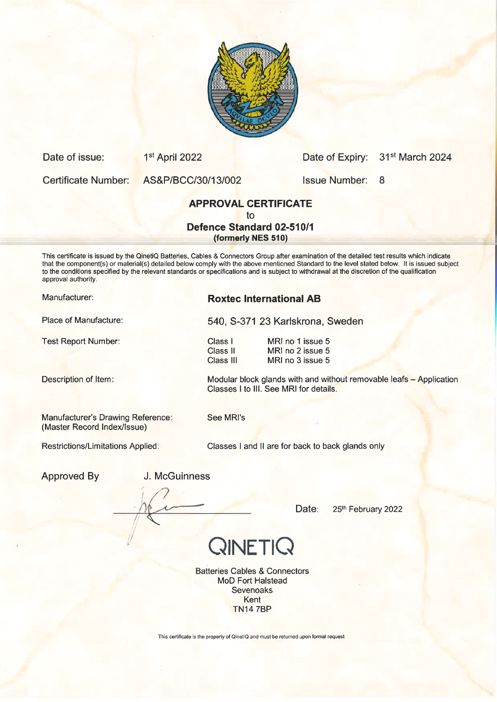

| Certificate Number: | AS&P/BCC/30/13/002                                                                                                                                                                                                                                                                                                                                                                                                                          | <b>Issue Number: 8</b> |  |
|---------------------|---------------------------------------------------------------------------------------------------------------------------------------------------------------------------------------------------------------------------------------------------------------------------------------------------------------------------------------------------------------------------------------------------------------------------------------------|------------------------|--|
|                     | <b>APPROVAL CERTIFICATE</b>                                                                                                                                                                                                                                                                                                                                                                                                                 |                        |  |
|                     | tο                                                                                                                                                                                                                                                                                                                                                                                                                                          |                        |  |
|                     | <b>Defence Standard 02-510/1</b>                                                                                                                                                                                                                                                                                                                                                                                                            |                        |  |
|                     | (formerly NES 510)                                                                                                                                                                                                                                                                                                                                                                                                                          |                        |  |
| approval authority. | This certificate is issued by the QinetiQ Batteries, Cables & Connectors Group after examination of the detailed test results which indicate<br>that the component(s) or material(s) detailed below comply with the above mentioned Standard to the level stated below. It is issued subject<br>to the conditions specified by the relevant standards or specifications and is subject to withdrawal at the discretion of the qualification |                        |  |

Place of Manufacture:

Description of Item:

Manufacturer's Drawing Reference: (Master Record lndex/lssue)

Date of issue: 1<sup>st</sup> April 2022

Restrictions/Limitations Applied:

Manufacturer: Roxtec International AB

540, 5-371 23 Karlskrona, Sweden

Class <sup>I</sup> Class ll Class lll

Test Report Number: Class I MRI no 1 issue 5 MRI no 2 issue 5 MRI no 3 issue 5

> Modular block glands with and without removable leafs - Application Classes I to III. See MRI for details.

Date of Expiry: 31<sup>st</sup> March 2024

See MRI's

Classes I and ll are for back to back glands only

Approved By **J. McGuinness** 

Date: 25th February 2022

QINETIQ

Batteries Cables & Connectors MoD Fort Halstead **Sevenoaks** Kent TN14 7BP

This certificate is the property of QinetiQ and must be returned upon formal request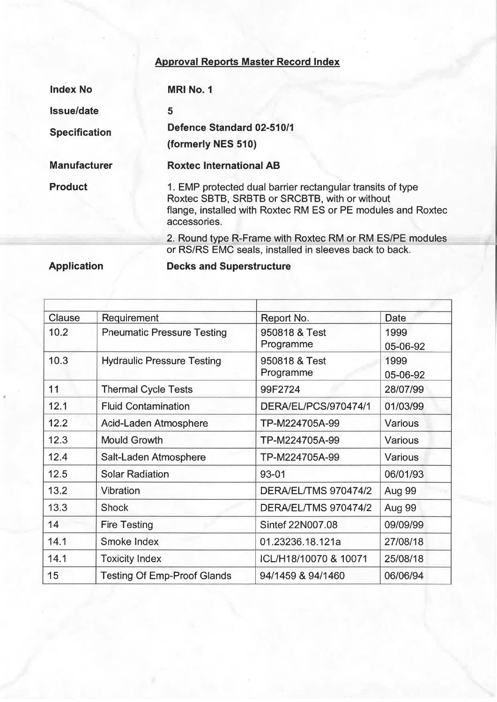## Approval Reports Master Record Index

| <b>Index No</b>      | <b>MRI No. 1</b>                                                                                                                                                                            |  |
|----------------------|---------------------------------------------------------------------------------------------------------------------------------------------------------------------------------------------|--|
| <b>Issue/date</b>    | 5                                                                                                                                                                                           |  |
| <b>Specification</b> | <b>Defence Standard 02-510/1</b>                                                                                                                                                            |  |
|                      | (formerly NES 510)                                                                                                                                                                          |  |
| <b>Manufacturer</b>  | <b>Roxtec International AB</b>                                                                                                                                                              |  |
| <b>Product</b>       | 1. EMP protected dual barrier rectangular transits of type<br>Roxtec SBTB, SRBTB or SRCBTB, with or without<br>flange, installed with Roxtec RM ES or PE modules and Roxtec<br>accessories. |  |
|                      | 2. Round type R-Frame with Roxtec RM or RM ES/PE modules<br>or RS/RS EMC seals, installed in sleeves back to back.                                                                          |  |

Application

Decks and Superstructure

| Clause | Requirement                        | Report No.                  | <b>Date</b>   |
|--------|------------------------------------|-----------------------------|---------------|
| 10.2   | <b>Pneumatic Pressure Testing</b>  | 950818 & Test               | 1999          |
|        |                                    | Programme                   | 05-06-92      |
| 10.3   | <b>Hydraulic Pressure Testing</b>  | 950818 & Test               | 1999          |
|        |                                    | Programme                   | 05-06-92      |
| 11     | <b>Thermal Cycle Tests</b>         | 99F2724                     | 28/07/99      |
| 12.1   | <b>Fluid Contamination</b>         | DERA/EL/PCS/970474/1        | 01/03/99      |
| 12.2   | Acid-Laden Atmosphere              | TP-M224705A-99              | Various       |
| 12.3   | <b>Mould Growth</b>                | TP-M224705A-99              | Various       |
| 12.4   | Salt-Laden Atmosphere              | TP-M224705A-99              | Various       |
| 12.5   | <b>Solar Radiation</b>             | 93-01                       | 06/01/93      |
| 13.2   | Vibration                          | DERA/EL/TMS 970474/2        | Aug 99        |
| 13.3   | <b>Shock</b>                       | <b>DERA/EL/TMS 970474/2</b> | <b>Aug 99</b> |
| 14     | <b>Fire Testing</b>                | Sintef 22N007.08            | 09/09/99      |
| 14.1   | Smoke Index                        | 01.23236.18.121a            | 27/08/18      |
| 14.1   | <b>Toxicity Index</b>              | ICL/H18/10070 & 10071       | 25/08/18      |
| 15     | <b>Testing Of Emp-Proof Glands</b> | 94/1459 & 94/1460           | 06/06/94      |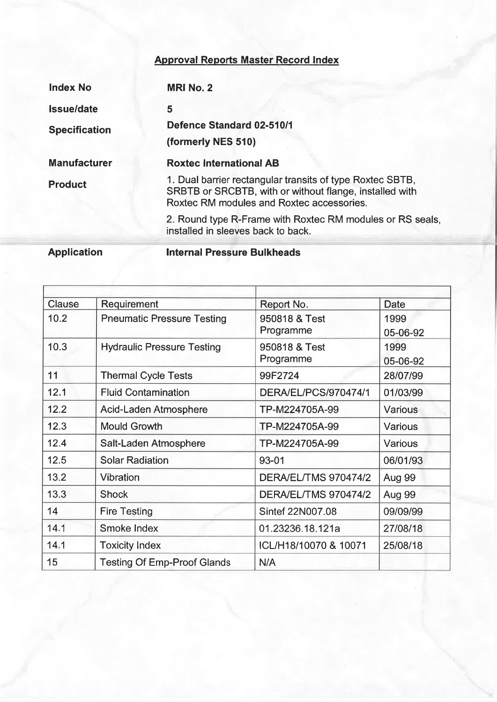## Approval Reports Master Record lndex

| <b>Index No</b>      | <b>MRI No. 2</b>                                                                                                                                                  |
|----------------------|-------------------------------------------------------------------------------------------------------------------------------------------------------------------|
| <b>Issue/date</b>    | 5                                                                                                                                                                 |
| <b>Specification</b> | Defence Standard 02-510/1                                                                                                                                         |
|                      | (formerly NES 510)                                                                                                                                                |
| <b>Manufacturer</b>  | <b>Roxtec International AB</b>                                                                                                                                    |
| <b>Product</b>       | 1. Dual barrier rectangular transits of type Roxtec SBTB,<br>SRBTB or SRCBTB, with or without flange, installed with<br>Roxtec RM modules and Roxtec accessories. |
|                      | 2. Round type R-Frame with Roxtec RM modules or RS seals,<br>installed in sleeves back to back.                                                                   |

Application

lnternal Pressure Bulkheads

| Clause | Requirement                        | Report No.                  | <b>Date</b>      |
|--------|------------------------------------|-----------------------------|------------------|
| 10.2   | <b>Pneumatic Pressure Testing</b>  | 950818 & Test<br>Programme  | 1999<br>05-06-92 |
| 10.3   | <b>Hydraulic Pressure Testing</b>  | 950818 & Test<br>Programme  | 1999<br>05-06-92 |
| 11     | <b>Thermal Cycle Tests</b>         | 99F2724                     | 28/07/99         |
| 12.1   | <b>Fluid Contamination</b>         | DERA/EL/PCS/970474/1        | 01/03/99         |
| 12.2   | Acid-Laden Atmosphere              | TP-M224705A-99              | <b>Various</b>   |
| 12.3   | <b>Mould Growth</b>                | TP-M224705A-99              | Various          |
| 12.4   | Salt-Laden Atmosphere              | TP-M224705A-99              | Various          |
| 12.5   | <b>Solar Radiation</b>             | 93-01                       | 06/01/93         |
| 13.2   | <b>Vibration</b>                   | DERA/EL/TMS 970474/2        | <b>Aug 99</b>    |
| 13.3   | <b>Shock</b>                       | <b>DERA/EL/TMS 970474/2</b> | Aug 99           |
| 14     | <b>Fire Testing</b>                | Sintef 22N007.08            | 09/09/99         |
| 14.1   | Smoke Index                        | 01.23236.18.121a            | 27/08/18         |
| 14.1   | <b>Toxicity Index</b>              | ICL/H18/10070 & 10071       | 25/08/18         |
| 15     | <b>Testing Of Emp-Proof Glands</b> | N/A                         |                  |